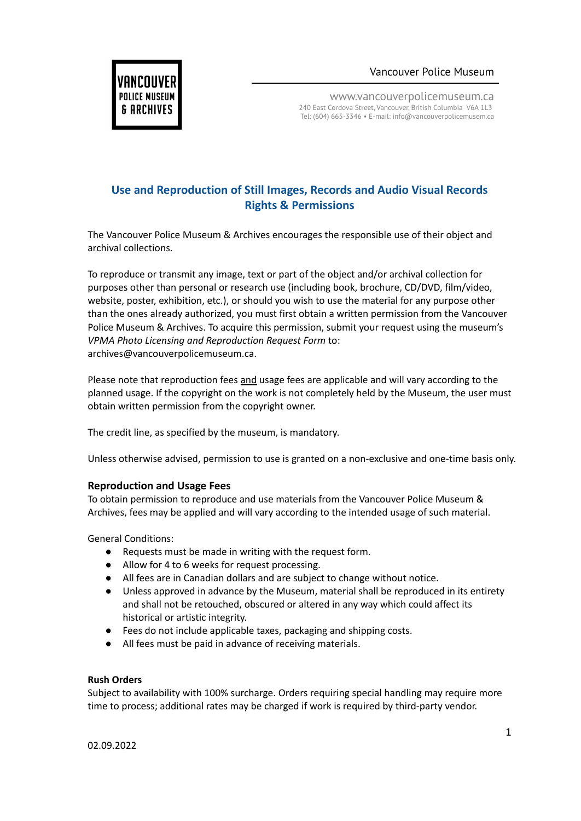Vancouver Police Museum



www.vancouverpolicemuseum.ca 240 East Cordova Street, Vancouver, British Columbia V6A 1L3 Tel: (604) 665-3346 • E-mail: info@vancouverpolicemusem.ca

# **Use and Reproduction of Still Images, Records and Audio Visual Records Rights & Permissions**

The Vancouver Police Museum & Archives encourages the responsible use of their object and archival collections.

To reproduce or transmit any image, text or part of the object and/or archival collection for purposes other than personal or research use (including book, brochure, CD/DVD, film/video, website, poster, exhibition, etc.), or should you wish to use the material for any purpose other than the ones already authorized, you must first obtain a written permission from the Vancouver Police Museum & Archives. To acquire this permission, submit your request using the museum's *VPMA Photo Licensing and Reproduction Request Form* to: archives@vancouverpolicemuseum.ca.

Please note that reproduction fees and usage fees are applicable and will vary according to the planned usage. If the copyright on the work is not completely held by the Museum, the user must obtain written permission from the copyright owner.

The credit line, as specified by the museum, is mandatory.

Unless otherwise advised, permission to use is granted on a non-exclusive and one-time basis only.

# **Reproduction and Usage Fees**

To obtain permission to reproduce and use materials from the Vancouver Police Museum & Archives, fees may be applied and will vary according to the intended usage of such material.

General Conditions:

- Requests must be made in writing with the request form.
- Allow for 4 to 6 weeks for request processing.
- All fees are in Canadian dollars and are subject to change without notice.
- Unless approved in advance by the Museum, material shall be reproduced in its entirety and shall not be retouched, obscured or altered in any way which could affect its historical or artistic integrity.
- Fees do not include applicable taxes, packaging and shipping costs.
- All fees must be paid in advance of receiving materials.

# **Rush Orders**

Subject to availability with 100% surcharge. Orders requiring special handling may require more time to process; additional rates may be charged if work is required by third-party vendor.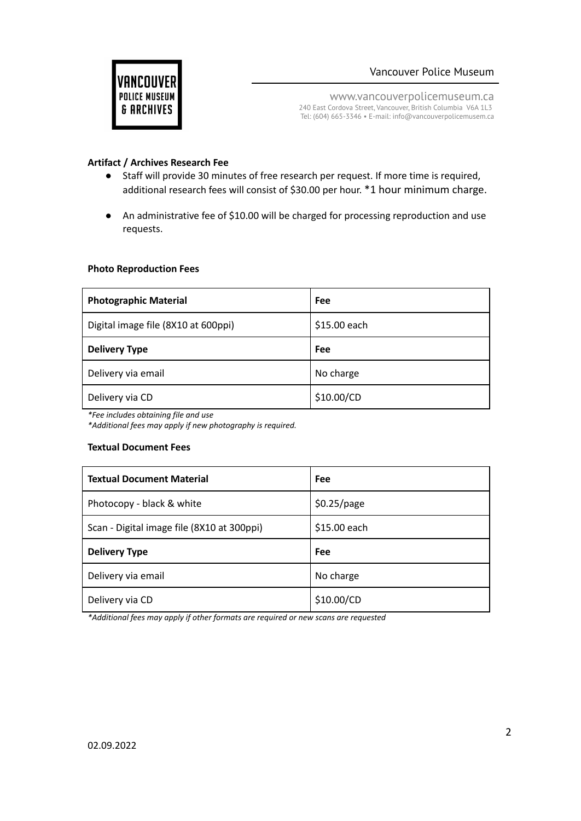

www.vancouverpolicemuseum.ca 240 East Cordova Street, Vancouver, British Columbia V6A 1L3 Tel: (604) 665-3346 • E-mail: info@vancouverpolicemusem.ca

## **Artifact / Archives Research Fee**

- Staff will provide 30 minutes of free research per request. If more time is required, additional research fees will consist of \$30.00 per hour. \*1 hour minimum charge.
- An administrative fee of \$10.00 will be charged for processing reproduction and use requests.

#### **Photo Reproduction Fees**

| <b>Photographic Material</b>        | Fee          |
|-------------------------------------|--------------|
| Digital image file (8X10 at 600ppi) | \$15.00 each |
| <b>Delivery Type</b>                | Fee          |
| Delivery via email                  | No charge    |
| Delivery via CD                     | \$10.00/CD   |

*\*Fee includes obtaining file and use*

*\*Additional fees may apply if new photography is required.*

#### **Textual Document Fees**

| <b>Textual Document Material</b>           | Fee          |
|--------------------------------------------|--------------|
| Photocopy - black & white                  | \$0.25/page  |
| Scan - Digital image file (8X10 at 300ppi) | \$15.00 each |
|                                            |              |
| <b>Delivery Type</b>                       | Fee          |
| Delivery via email                         | No charge    |

*\*Additional fees may apply if other formats are required or new scans are requested*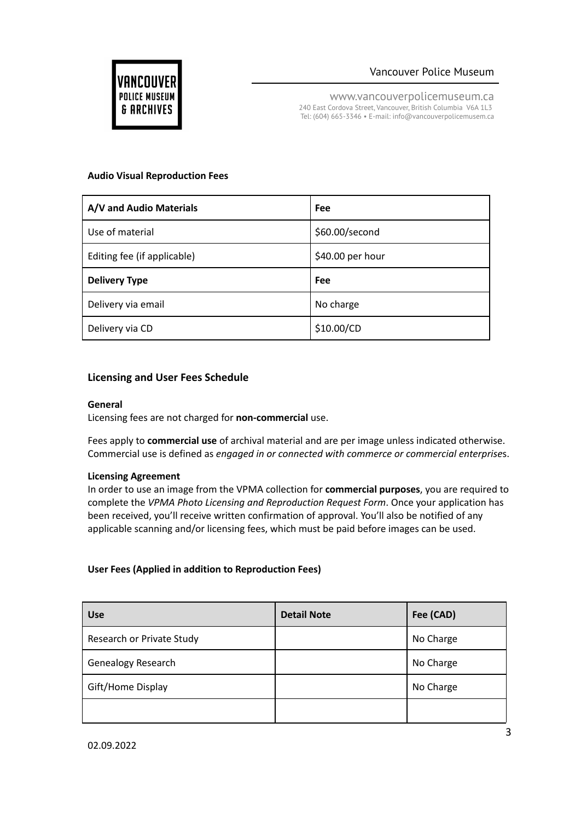

www.vancouverpolicemuseum.ca 240 East Cordova Street, Vancouver, British Columbia V6A 1L3 Tel: (604) 665-3346 • E-mail: info@vancouverpolicemusem.ca

### **Audio Visual Reproduction Fees**

| A/V and Audio Materials     | Fee              |
|-----------------------------|------------------|
| Use of material             | \$60.00/second   |
| Editing fee (if applicable) | \$40.00 per hour |
| <b>Delivery Type</b>        | Fee              |
| Delivery via email          | No charge        |
|                             |                  |

# **Licensing and User Fees Schedule**

### **General**

Licensing fees are not charged for **non-commercial** use.

Fees apply to **commercial use** of archival material and are per image unless indicated otherwise. Commercial use is defined as *engaged in or connected with commerce or commercial enterprise*s.

# **Licensing Agreement**

In order to use an image from the VPMA collection for **commercial purposes**, you are required to complete the *VPMA Photo Licensing and Reproduction Request Form*. Once your application has been received, you'll receive written confirmation of approval. You'll also be notified of any applicable scanning and/or licensing fees, which must be paid before images can be used.

# **User Fees (Applied in addition to Reproduction Fees)**

| <b>Use</b>                | <b>Detail Note</b> | Fee (CAD) |
|---------------------------|--------------------|-----------|
| Research or Private Study |                    | No Charge |
| <b>Genealogy Research</b> |                    | No Charge |
| Gift/Home Display         |                    | No Charge |
|                           |                    |           |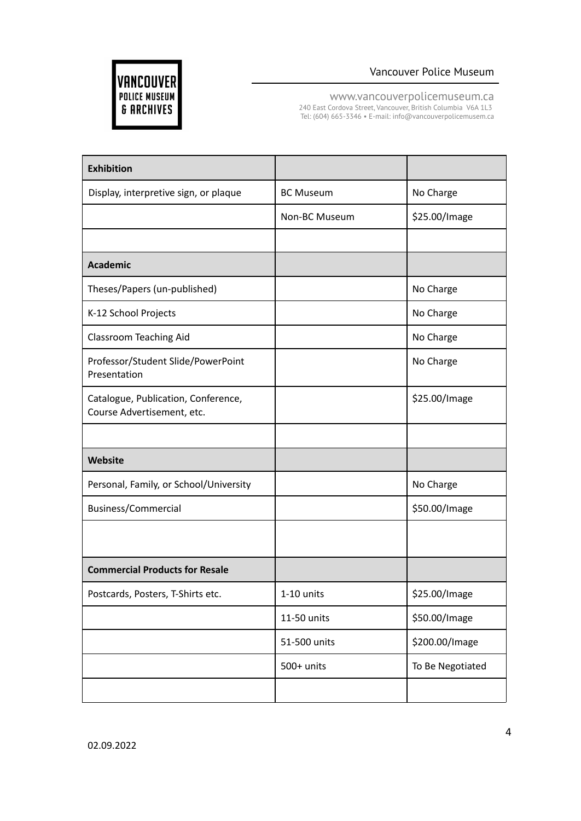



www.vancouverpolicemuseum.ca

240 East Cordova Street, Vancouver, British Columbia V6A 1L3 Tel: (604) 665-3346 • E-mail: info@vancouverpolicemusem.ca

| <b>Exhibition</b>                                                 |                  |                  |
|-------------------------------------------------------------------|------------------|------------------|
| Display, interpretive sign, or plaque                             | <b>BC Museum</b> | No Charge        |
|                                                                   | Non-BC Museum    | \$25.00/Image    |
|                                                                   |                  |                  |
| <b>Academic</b>                                                   |                  |                  |
| Theses/Papers (un-published)                                      |                  | No Charge        |
| K-12 School Projects                                              |                  | No Charge        |
| Classroom Teaching Aid                                            |                  | No Charge        |
| Professor/Student Slide/PowerPoint<br>Presentation                |                  | No Charge        |
| Catalogue, Publication, Conference,<br>Course Advertisement, etc. |                  | \$25.00/Image    |
|                                                                   |                  |                  |
| Website                                                           |                  |                  |
| Personal, Family, or School/University                            |                  | No Charge        |
| Business/Commercial                                               |                  | \$50.00/Image    |
|                                                                   |                  |                  |
| <b>Commercial Products for Resale</b>                             |                  |                  |
| Postcards, Posters, T-Shirts etc.                                 | 1-10 units       | \$25.00/Image    |
|                                                                   | 11-50 units      | \$50.00/Image    |
|                                                                   | 51-500 units     | \$200.00/Image   |
|                                                                   | 500+ units       | To Be Negotiated |
|                                                                   |                  |                  |